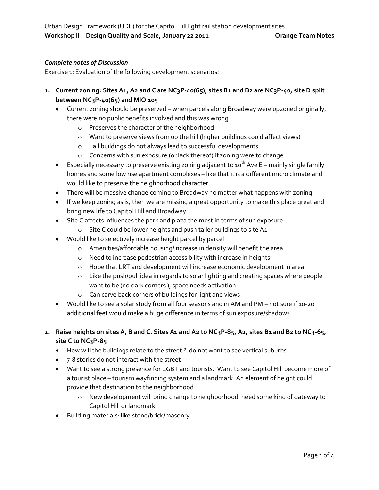# *Complete notes of Discussion*

Exercise 1: Evaluation of the following development scenarios:

- **1. Current zoning: Sites A1, A2 and C are NC3P-40(65), sites B1 and B2 are NC3P-40, site D split between NC3P-40(65) and MIO 105**
	- Current zoning should be preserved when parcels along Broadway were upzoned originally, there were no public benefits involved and this was wrong
		- o Preserves the character of the neighborhood
		- o Want to preserve views from up the hill (higher buildings could affect views)
		- o Tall buildings do not always lead to successful developments
		- o Concerns with sun exposure (or lack thereof) if zoning were to change
	- **E**specially necessary to preserve existing zoning adjacent to 10<sup>th</sup> Ave E mainly single family homes and some low rise apartment complexes – like that it is a different micro climate and would like to preserve the neighborhood character
	- There will be massive change coming to Broadway no matter what happens with zoning
	- If we keep zoning as is, then we are missing a great opportunity to make this place great and bring new life to Capitol Hill and Broadway
	- Site C affects influences the park and plaza the most in terms of sun exposure
		- o Site C could be lower heights and push taller buildings to site A1
	- Would like to selectively increase height parcel by parcel
		- o Amenities/affordable housing/increase in density will benefit the area
		- o Need to increase pedestrian accessibility with increase in heights
		- o Hope that LRT and development will increase economic development in area
		- o Like the push/pull idea in regards to solar lighting and creating spaces where people want to be (no dark corners ), space needs activation
		- o Can carve back corners of buildings for light and views
	- Would like to see a solar study from all four seasons and in AM and PM not sure if 10-20 additional feet would make a huge difference in terms of sun exposure/shadows
- **2. Raise heights on sites A, B and C. Sites A1 and A2 to NC3P-85, A2, sites B1 and B2 to NC3-65, site C to NC3P-85**
	- How will the buildings relate to the street ? do not want to see vertical suburbs
	- 7-8 stories do not interact with the street
	- Want to see a strong presence for LGBT and tourists. Want to see Capitol Hill become more of a tourist place – tourism wayfinding system and a landmark. An element of height could provide that destination to the neighborhood
		- o New development will bring change to neighborhood, need some kind of gateway to Capitol Hill or landmark
	- Building materials: like stone/brick/masonry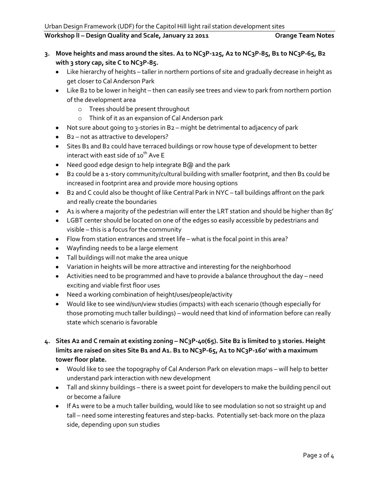- **3. Move heights and mass around the sites. A1 to NC3P-125, A2 to NC3P-85, B1 to NC3P-65, B2 with 3 story cap, site C to NC3P-85.**
	- Like hierarchy of heights taller in northern portions of site and gradually decrease in height as get closer to Cal Anderson Park
	- Like B2 to be lower in height then can easily see trees and view to park from northern portion of the development area
		- o Trees should be present throughout
		- o Think of it as an expansion of Cal Anderson park
	- Not sure about going to 3-stories in B2 might be detrimental to adjacency of park
	- B2 not as attractive to developers?
	- Sites B1 and B2 could have terraced buildings or row house type of development to better interact with east side of  $10^{th}$  Ave E
	- Need good edge design to help integrate B@ and the park
	- B2 could be a 1-story community/cultural building with smaller footprint, and then B1 could be increased in footprint area and provide more housing options
	- B2 and C could also be thought of like Central Park in NYC tall buildings affront on the park and really create the boundaries
	- A1 is where a majority of the pedestrian will enter the LRT station and should be higher than 85'
	- LGBT center should be located on one of the edges so easily accessible by pedestrians and visible – this is a focus for the community
	- Flow from station entrances and street life what is the focal point in this area?
	- Wayfinding needs to be a large element
	- Tall buildings will not make the area unique
	- Variation in heights will be more attractive and interesting for the neighborhood
	- Activities need to be programmed and have to provide a balance throughout the day need exciting and viable first floor uses
	- Need a working combination of height/uses/people/activity
	- Would like to see wind/sun/view studies (impacts) with each scenario (though especially for those promoting much taller buildings) – would need that kind of information before can really state which scenario is favorable
- **4. Sites A2 and C remain at existing zoning – NC3P-40(65). Site B2 is limited to 3 stories. Height limits are raised on sites Site B1 and A1. B1 to NC3P-65, A1 to NC3P-160' with a maximum tower floor plate.**
	- Would like to see the topography of Cal Anderson Park on elevation maps will help to better understand park interaction with new development
	- Tall and skinny buildings there is a sweet point for developers to make the building pencil out or become a failure
	- If A1 were to be a much taller building, would like to see modulation so not so straight up and tall – need some interesting features and step-backs. Potentially set-back more on the plaza side, depending upon sun studies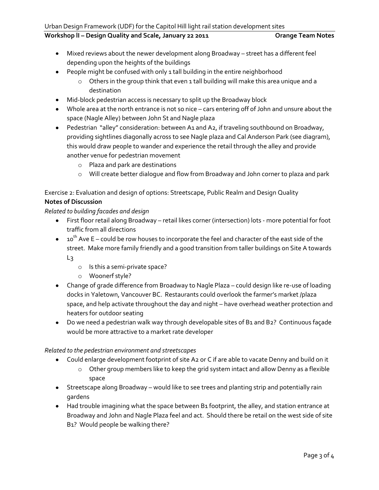- Mixed reviews about the newer development along Broadway street has a different feel depending upon the heights of the buildings
- People might be confused with only 1 tall building in the entire neighborhood
	- $\circ$  Others in the group think that even 1 tall building will make this area unique and a destination
- Mid-block pedestrian access is necessary to split up the Broadway block
- Whole area at the north entrance is not so nice cars entering off of John and unsure about the space (Nagle Alley) between John St and Nagle plaza
- Pedestrian "alley" consideration: between A1 and A2, if traveling southbound on Broadway, providing sightlines diagonally across to see Nagle plaza and Cal Anderson Park (see diagram), this would draw people to wander and experience the retail through the alley and provide another venue for pedestrian movement
	- o Plaza and park are destinations
	- o Will create better dialogue and flow from Broadway and John corner to plaza and park

# Exercise 2: Evaluation and design of options: Streetscape, Public Realm and Design Quality

### **Notes of Discussion**

*Related to building facades and design*

- First floor retail along Broadway retail likes corner (intersection) lots more potential for foot traffic from all directions
- $10$ <sup>th</sup> Ave E could be row houses to incorporate the feel and character of the east side of the street. Make more family friendly and a good transition from taller buildings on Site A towards  $L_3$ 
	- o Is this a semi-private space?
	- o Woonerf style?
- Change of grade difference from Broadway to Nagle Plaza could design like re-use of loading docks in Yaletown, Vancouver BC. Restaurants could overlook the farmer's market /plaza space, and help activate throughout the day and night – have overhead weather protection and heaters for outdoor seating
- Do we need a pedestrian walk way through developable sites of B1 and B2? Continuous façade would be more attractive to a market rate developer

### *Related to the pedestrian environment and streetscapes*

- Could enlarge development footprint of site A2 or C if are able to vacate Denny and build on it
	- o Other group members like to keep the grid system intact and allow Denny as a flexible space
- Streetscape along Broadway would like to see trees and planting strip and potentially rain gardens
- Had trouble imagining what the space between B1 footprint, the alley, and station entrance at Broadway and John and Nagle Plaza feel and act. Should there be retail on the west side of site B1? Would people be walking there?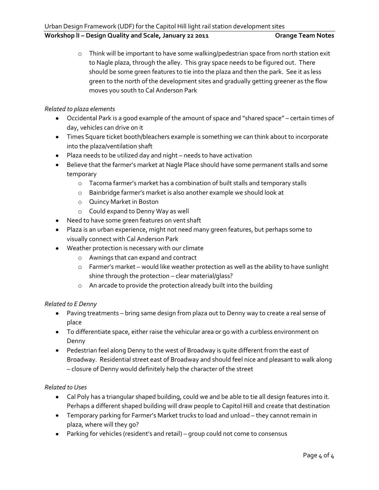o Think will be important to have some walking/pedestrian space from north station exit to Nagle plaza, through the alley. This gray space needs to be figured out. There should be some green features to tie into the plaza and then the park. See it as less green to the north of the development sites and gradually getting greener as the flow moves you south to Cal Anderson Park

### *Related to plaza elements*

- Occidental Park is a good example of the amount of space and "shared space" certain times of day, vehicles can drive on it
- Times Square ticket booth/bleachers example is something we can think about to incorporate into the plaza/ventilation shaft
- Plaza needs to be utilized day and night needs to have activation
- Believe that the farmer's market at Nagle Place should have some permanent stalls and some temporary
	- o Tacoma farmer's market has a combination of built stalls and temporary stalls
	- o Bainbridge farmer's market is also another example we should look at
	- o Quincy Market in Boston
	- o Could expand to Denny Way as well
- Need to have some green features on vent shaft
- Plaza is an urban experience, might not need many green features, but perhaps some to visually connect with Cal Anderson Park
- Weather protection is necessary with our climate
	- o Awnings that can expand and contract
	- o Farmer's market would like weather protection as well as the ability to have sunlight shine through the protection – clear material/glass?
	- o An arcade to provide the protection already built into the building

### *Related to E Denny*

- Paving treatments bring same design from plaza out to Denny way to create a real sense of place
- To differentiate space, either raise the vehicular area or go with a curbless environment on Denny
- Pedestrian feel along Denny to the west of Broadway is quite different from the east of Broadway. Residential street east of Broadway and should feel nice and pleasant to walk along – closure of Denny would definitely help the character of the street

### *Related to Uses*

- Cal Poly has a triangular shaped building, could we and be able to tie all design features into it. Perhaps a different shaped building will draw people to Capitol Hill and create that destination
- Temporary parking for Farmer's Market trucks to load and unload they cannot remain in plaza, where will they go?
- Parking for vehicles (resident's and retail) group could not come to consensus